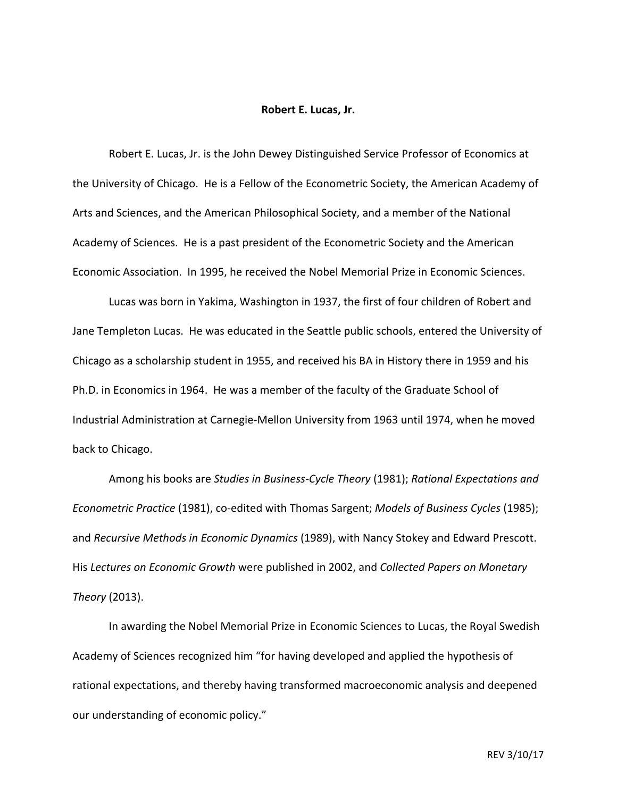## **Robert E. Lucas, Jr.**

Robert E. Lucas, Jr. is the John Dewey Distinguished Service Professor of Economics at the University of Chicago. He is a Fellow of the Econometric Society, the American Academy of Arts and Sciences, and the American Philosophical Society, and a member of the National Academy of Sciences. He is a past president of the Econometric Society and the American Economic Association. In 1995, he received the Nobel Memorial Prize in Economic Sciences.

Lucas was born in Yakima, Washington in 1937, the first of four children of Robert and Jane Templeton Lucas. He was educated in the Seattle public schools, entered the University of Chicago as a scholarship student in 1955, and received his BA in History there in 1959 and his Ph.D. in Economics in 1964. He was a member of the faculty of the Graduate School of Industrial Administration at Carnegie-Mellon University from 1963 until 1974, when he moved back to Chicago.

Among his books are *Studies in Business-Cycle Theory* (1981); *Rational Expectations and Econometric Practice* (1981), co-edited with Thomas Sargent; *Models of Business Cycles* (1985); and *Recursive Methods in Economic Dynamics* (1989), with Nancy Stokey and Edward Prescott. His Lectures on Economic Growth were published in 2002, and *Collected Papers on Monetary Theory* (2013).

In awarding the Nobel Memorial Prize in Economic Sciences to Lucas, the Royal Swedish Academy of Sciences recognized him "for having developed and applied the hypothesis of rational expectations, and thereby having transformed macroeconomic analysis and deepened our understanding of economic policy."